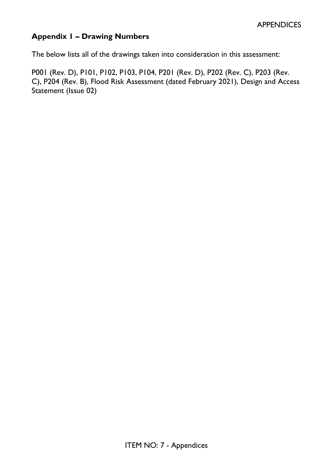# **Appendix 1 – Drawing Numbers**

The below lists all of the drawings taken into consideration in this assessment:

P001 (Rev. D), P101, P102, P103, P104, P201 (Rev. D), P202 (Rev. C), P203 (Rev. C), P204 (Rev. B), Flood Risk Assessment (dated February 2021), Design and Access Statement (Issue 02)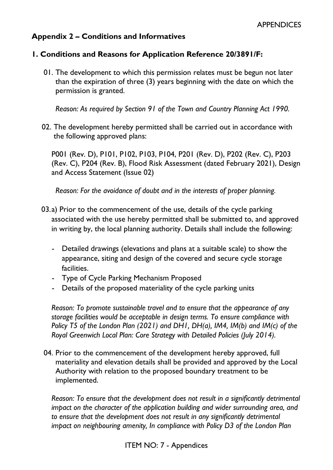## **Appendix 2 – Conditions and Informatives**

### **1. Conditions and Reasons for Application Reference 20/3891/F:**

01. The development to which this permission relates must be begun not later than the expiration of three (3) years beginning with the date on which the permission is granted.

*Reason: As required by Section 91 of the Town and Country Planning Act 1990.*

02. The development hereby permitted shall be carried out in accordance with the following approved plans:

P001 (Rev. D), P101, P102, P103, P104, P201 (Rev. D), P202 (Rev. C), P203 (Rev. C), P204 (Rev. B), Flood Risk Assessment (dated February 2021), Design and Access Statement (Issue 02)

*Reason: For the avoidance of doubt and in the interests of proper planning.*

- 03.a) Prior to the commencement of the use, details of the cycle parking associated with the use hereby permitted shall be submitted to, and approved in writing by, the local planning authority. Details shall include the following:
	- Detailed drawings (elevations and plans at a suitable scale) to show the appearance, siting and design of the covered and secure cycle storage facilities.
	- Type of Cycle Parking Mechanism Proposed
	- Details of the proposed materiality of the cycle parking units

*Reason: To promote sustainable travel and to ensure that the appearance of any storage facilities would be acceptable in design terms. To ensure compliance with Policy T5 of the London Plan (2021) and DH1, DH(a), IM4, IM(b) and IM(c) of the Royal Greenwich Local Plan: Core Strategy with Detailed Policies (July 2014).* 

04. Prior to the commencement of the development hereby approved, full materiality and elevation details shall be provided and approved by the Local Authority with relation to the proposed boundary treatment to be implemented.

*Reason: To ensure that the development does not result in a significantly detrimental impact on the character of the application building and wider surrounding area, and to ensure that the development does not result in any significantly detrimental impact on neighbouring amenity, In compliance with Policy D3 of the London Plan*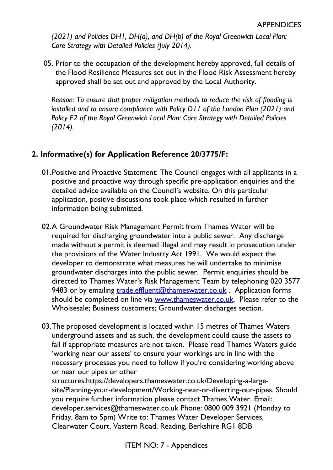*(2021) and Policies DH1, DH(a), and DH(b) of the Royal Greenwich Local Plan: Core Strategy with Detailed Policies (July 2014).*

05. Prior to the occupation of the development hereby approved, full details of the Flood Resilience Measures set out in the Flood Risk Assessment hereby approved shall be set out and approved by the Local Authority.

*Reason: To ensure that proper mitigation methods to reduce the risk of flooding is installed and to ensure compliance with Policy D11 of the London Plan (2021) and Policy E2 of the Royal Greenwich Local Plan: Core Strategy with Detailed Policies (2014).* 

# **2. Informative(s) for Application Reference 20/3775/F:**

- 01.Positive and Proactive Statement: The Council engages with all applicants in a positive and proactive way through specific pre-application enquiries and the detailed advice available on the Council's website. On this particular application, positive discussions took place which resulted in further information being submitted.
- 02.A Groundwater Risk Management Permit from Thames Water will be required for discharging groundwater into a public sewer. Any discharge made without a permit is deemed illegal and may result in prosecution under the provisions of the Water Industry Act 1991. We would expect the developer to demonstrate what measures he will undertake to minimise groundwater discharges into the public sewer. Permit enquiries should be directed to Thames Water's Risk Management Team by telephoning 020 3577 9483 or by emailing [trade.effluent@thameswater.co.uk](mailto:trade.effluent@thameswater.co.uk) . Application forms should be completed on line via [www.thameswater.co.uk.](http://www.thameswater.co.uk/) Please refer to the Wholsesale; Business customers; Groundwater discharges section.
- 03.The proposed development is located within 15 metres of Thames Waters underground assets and as such, the development could cause the assets to fail if appropriate measures are not taken. Please read Thames Waters guide 'working near our assets' to ensure your workings are in line with the necessary processes you need to follow if you're considering working above or near our pipes or other

structures.https://developers.thameswater.co.uk/Developing-a-largesite/Planning-your-development/Working-near-or-diverting-our-pipes. Should you require further information please contact Thames Water. Email: developer.services@thameswater.co.uk Phone: 0800 009 3921 (Monday to Friday, 8am to 5pm) Write to: Thames Water Developer Services, Clearwater Court, Vastern Road, Reading, Berkshire RG1 8DB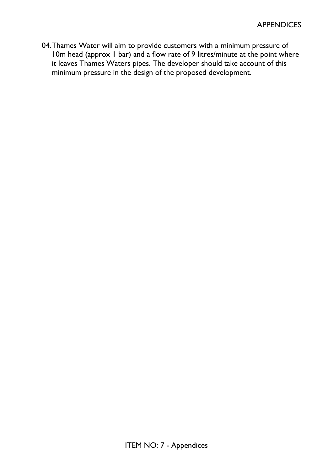04.Thames Water will aim to provide customers with a minimum pressure of 10m head (approx 1 bar) and a flow rate of 9 litres/minute at the point where it leaves Thames Waters pipes. The developer should take account of this minimum pressure in the design of the proposed development.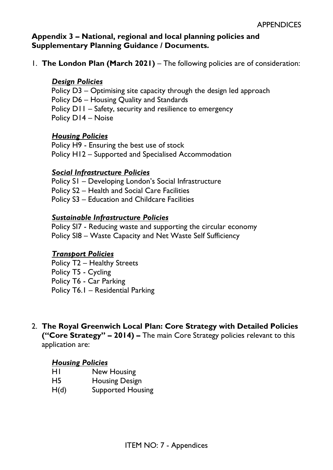### **Appendix 3 – National, regional and local planning policies and Supplementary Planning Guidance / Documents.**

1. **The London Plan (March 2021)** – The following policies are of consideration:

## *Design Policies*

Policy D3 – Optimising site capacity through the design led approach Policy D6 – Housing Quality and Standards Policy D11 – Safety, security and resilience to emergency Policy D14 – Noise

### *Housing Policies*

Policy H9 - Ensuring the best use of stock Policy H12 – Supported and Specialised Accommodation

### *Social Infrastructure Policies*

Policy S1 – Developing London's Social Infrastructure Policy S2 – Health and Social Care Facilities Policy S3 – Education and Childcare Facilities

### *Sustainable Infrastructure Policies*

Policy SI7 - Reducing waste and supporting the circular economy Policy SI8 – Waste Capacity and Net Waste Self Sufficiency

#### *Transport Policies*

Policy T2 – Healthy Streets Policy T5 - Cycling Policy T6 - Car Parking Policy T6.1 – Residential Parking

2. **The Royal Greenwich Local Plan: Core Strategy with Detailed Policies ("Core Strategy" – 2014) –** The main Core Strategy policies relevant to this application are:

#### *Housing Policies*

- H1 New Housing
- H5 Housing Design
- H(d) Supported Housing